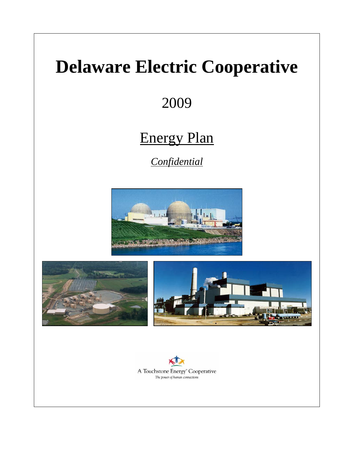# **Delaware Electric Cooperative**

2009

# Energy Plan

*Confidential*







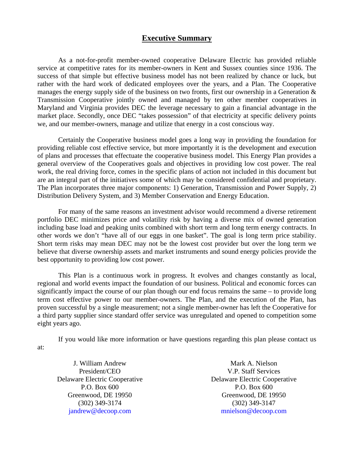# **Executive Summary**

As a not-for-profit member-owned cooperative Delaware Electric has provided reliable service at competitive rates for its member-owners in Kent and Sussex counties since 1936. The success of that simple but effective business model has not been realized by chance or luck, but rather with the hard work of dedicated employees over the years, and a Plan. The Cooperative manages the energy supply side of the business on two fronts, first our ownership in a Generation  $\&$ Transmission Cooperative jointly owned and managed by ten other member cooperatives in Maryland and Virginia provides DEC the leverage necessary to gain a financial advantage in the market place. Secondly, once DEC "takes possession" of that electricity at specific delivery points we, and our member-owners, manage and utilize that energy in a cost conscious way.

Certainly the Cooperative business model goes a long way in providing the foundation for providing reliable cost effective service, but more importantly it is the development and execution of plans and processes that effectuate the cooperative business model. This Energy Plan provides a general overview of the Cooperatives goals and objectives in providing low cost power. The real work, the real driving force, comes in the specific plans of action not included in this document but are an integral part of the initiatives some of which may be considered confidential and proprietary. The Plan incorporates three major components: 1) Generation, Transmission and Power Supply, 2) Distribution Delivery System, and 3) Member Conservation and Energy Education.

For many of the same reasons an investment advisor would recommend a diverse retirement portfolio DEC minimizes price and volatility risk by having a diverse mix of owned generation including base load and peaking units combined with short term and long term energy contracts. In other words we don't "have all of our eggs in one basket". The goal is long term price stability. Short term risks may mean DEC may not be the lowest cost provider but over the long term we believe that diverse ownership assets and market instruments and sound energy policies provide the best opportunity to providing low cost power.

This Plan is a continuous work in progress. It evolves and changes constantly as local, regional and world events impact the foundation of our business. Political and economic forces can significantly impact the course of our plan though our end focus remains the same – to provide long term cost effective power to our member-owners. The Plan, and the execution of the Plan, has proven successful by a single measurement; not a single member-owner has left the Cooperative for a third party supplier since standard offer service was unregulated and opened to competition some eight years ago.

If you would like more information or have questions regarding this plan please contact us at:

J. William Andrew President/CEO Delaware Electric Cooperative P.O. Box 600 Greenwood, DE 19950 (302) 349-3174 jandrew@decoop.com

Mark A. Nielson V.P. Staff Services Delaware Electric Cooperative P.O. Box 600 Greenwood, DE 19950 (302) 349-3147 mnielson@decoop.com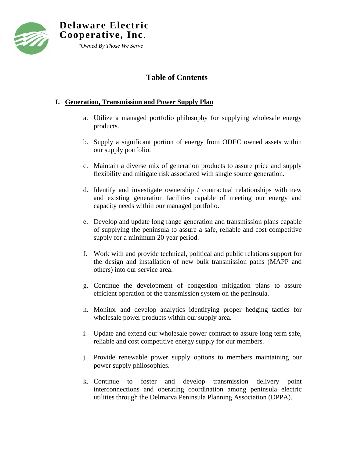

# **Table of Contents**

# **I. Generation, Transmission and Power Supply Plan**

- a. Utilize a managed portfolio philosophy for supplying wholesale energy products.
- b. Supply a significant portion of energy from ODEC owned assets within our supply portfolio.
- c. Maintain a diverse mix of generation products to assure price and supply flexibility and mitigate risk associated with single source generation.
- d. Identify and investigate ownership / contractual relationships with new and existing generation facilities capable of meeting our energy and capacity needs within our managed portfolio.
- e. Develop and update long range generation and transmission plans capable of supplying the peninsula to assure a safe, reliable and cost competitive supply for a minimum 20 year period.
- f. Work with and provide technical, political and public relations support for the design and installation of new bulk transmission paths (MAPP and others) into our service area.
- g. Continue the development of congestion mitigation plans to assure efficient operation of the transmission system on the peninsula.
- h. Monitor and develop analytics identifying proper hedging tactics for wholesale power products within our supply area.
- i. Update and extend our wholesale power contract to assure long term safe, reliable and cost competitive energy supply for our members.
- j. Provide renewable power supply options to members maintaining our power supply philosophies.
- k. Continue to foster and develop transmission delivery point interconnections and operating coordination among peninsula electric utilities through the Delmarva Peninsula Planning Association (DPPA).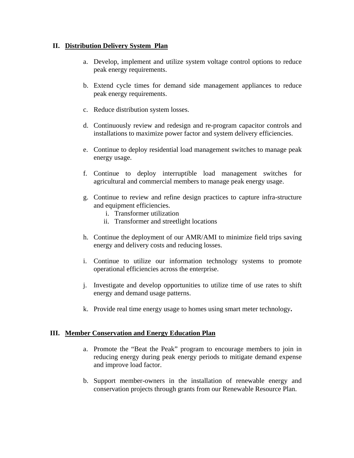### **II. Distribution Delivery System Plan**

- a. Develop, implement and utilize system voltage control options to reduce peak energy requirements.
- b. Extend cycle times for demand side management appliances to reduce peak energy requirements.
- c. Reduce distribution system losses.
- d. Continuously review and redesign and re-program capacitor controls and installations to maximize power factor and system delivery efficiencies.
- e. Continue to deploy residential load management switches to manage peak energy usage.
- f. Continue to deploy interruptible load management switches for agricultural and commercial members to manage peak energy usage.
- g. Continue to review and refine design practices to capture infra-structure and equipment efficiencies.
	- i. Transformer utilization
	- ii. Transformer and streetlight locations
- h. Continue the deployment of our AMR/AMI to minimize field trips saving energy and delivery costs and reducing losses.
- i. Continue to utilize our information technology systems to promote operational efficiencies across the enterprise.
- j. Investigate and develop opportunities to utilize time of use rates to shift energy and demand usage patterns.
- k. Provide real time energy usage to homes using smart meter technology**.**

#### **III. Member Conservation and Energy Education Plan**

- a. Promote the "Beat the Peak" program to encourage members to join in reducing energy during peak energy periods to mitigate demand expense and improve load factor.
- b. Support member-owners in the installation of renewable energy and conservation projects through grants from our Renewable Resource Plan.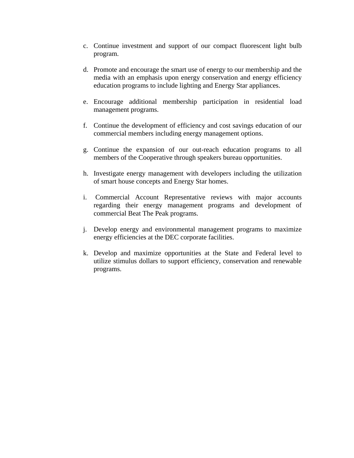- c. Continue investment and support of our compact fluorescent light bulb program.
- d. Promote and encourage the smart use of energy to our membership and the media with an emphasis upon energy conservation and energy efficiency education programs to include lighting and Energy Star appliances.
- e. Encourage additional membership participation in residential load management programs.
- f. Continue the development of efficiency and cost savings education of our commercial members including energy management options.
- g. Continue the expansion of our out-reach education programs to all members of the Cooperative through speakers bureau opportunities.
- h. Investigate energy management with developers including the utilization of smart house concepts and Energy Star homes.
- i. Commercial Account Representative reviews with major accounts regarding their energy management programs and development of commercial Beat The Peak programs.
- j. Develop energy and environmental management programs to maximize energy efficiencies at the DEC corporate facilities.
- k. Develop and maximize opportunities at the State and Federal level to utilize stimulus dollars to support efficiency, conservation and renewable programs.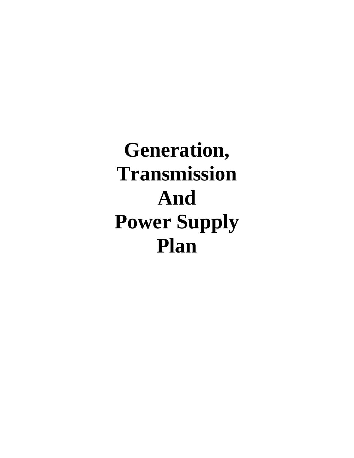# **Generation, Transmission And Power Supply Plan**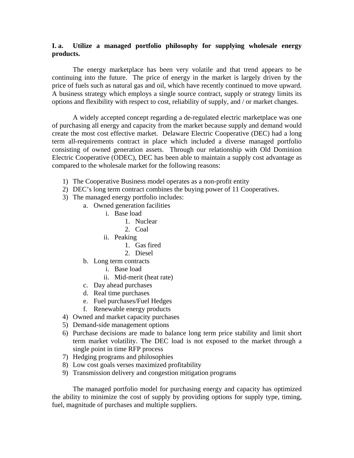#### **I. a. Utilize a managed portfolio philosophy for supplying wholesale energy products.**

 The energy marketplace has been very volatile and that trend appears to be continuing into the future. The price of energy in the market is largely driven by the price of fuels such as natural gas and oil, which have recently continued to move upward. A business strategy which employs a single source contract, supply or strategy limits its options and flexibility with respect to cost, reliability of supply, and / or market changes.

A widely accepted concept regarding a de-regulated electric marketplace was one of purchasing all energy and capacity from the market because supply and demand would create the most cost effective market. Delaware Electric Cooperative (DEC) had a long term all-requirements contract in place which included a diverse managed portfolio consisting of owned generation assets. Through our relationship with Old Dominion Electric Cooperative (ODEC), DEC has been able to maintain a supply cost advantage as compared to the wholesale market for the following reasons:

- 1) The Cooperative Business model operates as a non-profit entity
- 2) DEC's long term contract combines the buying power of 11 Cooperatives.
- 3) The managed energy portfolio includes:
	- a. Owned generation facilities
		- i. Base load
			- 1. Nuclear
			- 2. Coal
		- ii. Peaking
			- 1. Gas fired
			- 2. Diesel
		- b. Long term contracts
			- i. Base load
			- ii. Mid-merit (heat rate)
		- c. Day ahead purchases
		- d. Real time purchases
		- e. Fuel purchases/Fuel Hedges
		- f. Renewable energy products
- 4) Owned and market capacity purchases
- 5) Demand-side management options
- 6) Purchase decisions are made to balance long term price stability and limit short term market volatility. The DEC load is not exposed to the market through a single point in time RFP process
- 7) Hedging programs and philosophies
- 8) Low cost goals verses maximized profitability
- 9) Transmission delivery and congestion mitigation programs

The managed portfolio model for purchasing energy and capacity has optimized the ability to minimize the cost of supply by providing options for supply type, timing, fuel, magnitude of purchases and multiple suppliers.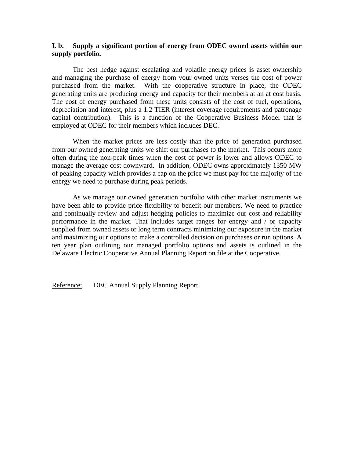#### **I. b. Supply a significant portion of energy from ODEC owned assets within our supply portfolio.**

 The best hedge against escalating and volatile energy prices is asset ownership and managing the purchase of energy from your owned units verses the cost of power purchased from the market. With the cooperative structure in place, the ODEC generating units are producing energy and capacity for their members at an at cost basis. The cost of energy purchased from these units consists of the cost of fuel, operations, depreciation and interest, plus a 1.2 TIER (interest coverage requirements and patronage capital contribution). This is a function of the Cooperative Business Model that is employed at ODEC for their members which includes DEC.

 When the market prices are less costly than the price of generation purchased from our owned generating units we shift our purchases to the market. This occurs more often during the non-peak times when the cost of power is lower and allows ODEC to manage the average cost downward. In addition, ODEC owns approximately 1350 MW of peaking capacity which provides a cap on the price we must pay for the majority of the energy we need to purchase during peak periods.

 As we manage our owned generation portfolio with other market instruments we have been able to provide price flexibility to benefit our members. We need to practice and continually review and adjust hedging policies to maximize our cost and reliability performance in the market. That includes target ranges for energy and / or capacity supplied from owned assets or long term contracts minimizing our exposure in the market and maximizing our options to make a controlled decision on purchases or run options. A ten year plan outlining our managed portfolio options and assets is outlined in the Delaware Electric Cooperative Annual Planning Report on file at the Cooperative.

Reference: DEC Annual Supply Planning Report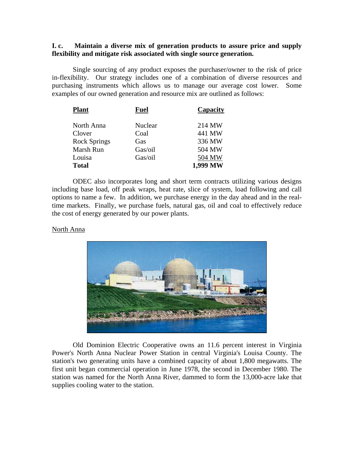#### **I. c. Maintain a diverse mix of generation products to assure price and supply flexibility and mitigate risk associated with single source generation.**

 Single sourcing of any product exposes the purchaser/owner to the risk of price in-flexibility. Our strategy includes one of a combination of diverse resources and purchasing instruments which allows us to manage our average cost lower. Some examples of our owned generation and resource mix are outlined as follows:

| <b>Plant</b>        | <b>Fuel</b> | Capacity |
|---------------------|-------------|----------|
| North Anna          | Nuclear     | 214 MW   |
| Clover              | Coal        | 441 MW   |
| <b>Rock Springs</b> | Gas         | 336 MW   |
| Marsh Run           | Gas/oil     | 504 MW   |
| Louisa              | Gas/oil     | 504 MW   |
| <b>Total</b>        |             | 1,999 MW |

ODEC also incorporates long and short term contracts utilizing various designs including base load, off peak wraps, heat rate, slice of system, load following and call options to name a few. In addition, we purchase energy in the day ahead and in the realtime markets. Finally, we purchase fuels, natural gas, oil and coal to effectively reduce the cost of energy generated by our power plants.

#### North Anna



Old Dominion Electric Cooperative owns an 11.6 percent interest in Virginia Power's North Anna Nuclear Power Station in central Virginia's Louisa County. The station's two generating units have a combined capacity of about 1,800 megawatts. The first unit began commercial operation in June 1978, the second in December 1980. The station was named for the North Anna River, dammed to form the 13,000-acre lake that supplies cooling water to the station.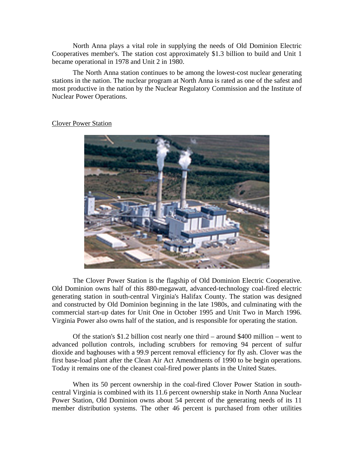North Anna plays a vital role in supplying the needs of Old Dominion Electric Cooperatives member's. The station cost approximately \$1.3 billion to build and Unit 1 became operational in 1978 and Unit 2 in 1980.

The North Anna station continues to be among the lowest-cost nuclear generating stations in the nation. The nuclear program at North Anna is rated as one of the safest and most productive in the nation by the Nuclear Regulatory Commission and the Institute of Nuclear Power Operations.

#### Clover Power Station



The Clover Power Station is the flagship of Old Dominion Electric Cooperative. Old Dominion owns half of this 880-megawatt, advanced-technology coal-fired electric generating station in south-central Virginia's Halifax County. The station was designed and constructed by Old Dominion beginning in the late 1980s, and culminating with the commercial start-up dates for Unit One in October 1995 and Unit Two in March 1996. Virginia Power also owns half of the station, and is responsible for operating the station.

Of the station's \$1.2 billion cost nearly one third – around \$400 million – went to advanced pollution controls, including scrubbers for removing 94 percent of sulfur dioxide and baghouses with a 99.9 percent removal efficiency for fly ash. Clover was the first base-load plant after the Clean Air Act Amendments of 1990 to be begin operations. Today it remains one of the cleanest coal-fired power plants in the United States.

When its 50 percent ownership in the coal-fired Clover Power Station in southcentral Virginia is combined with its 11.6 percent ownership stake in North Anna Nuclear Power Station, Old Dominion owns about 54 percent of the generating needs of its 11 member distribution systems. The other 46 percent is purchased from other utilities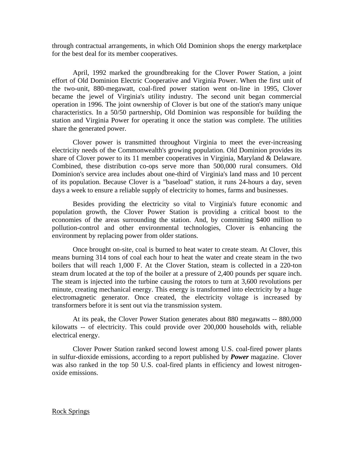through contractual arrangements, in which Old Dominion shops the energy marketplace for the best deal for its member cooperatives.

April, 1992 marked the groundbreaking for the Clover Power Station, a joint effort of Old Dominion Electric Cooperative and Virginia Power. When the first unit of the two-unit, 880-megawatt, coal-fired power station went on-line in 1995, Clover became the jewel of Virginia's utility industry. The second unit began commercial operation in 1996. The joint ownership of Clover is but one of the station's many unique characteristics. In a 50/50 partnership, Old Dominion was responsible for building the station and Virginia Power for operating it once the station was complete. The utilities share the generated power.

Clover power is transmitted throughout Virginia to meet the ever-increasing electricity needs of the Commonwealth's growing population. Old Dominion provides its share of Clover power to its 11 member cooperatives in Virginia, Maryland & Delaware. Combined, these distribution co-ops serve more than 500,000 rural consumers. Old Dominion's service area includes about one-third of Virginia's land mass and 10 percent of its population. Because Clover is a "baseload" station, it runs 24-hours a day, seven days a week to ensure a reliable supply of electricity to homes, farms and businesses.

Besides providing the electricity so vital to Virginia's future economic and population growth, the Clover Power Station is providing a critical boost to the economies of the areas surrounding the station. And, by committing \$400 million to pollution-control and other environmental technologies, Clover is enhancing the environment by replacing power from older stations.

Once brought on-site, coal is burned to heat water to create steam. At Clover, this means burning 314 tons of coal each hour to heat the water and create steam in the two boilers that will reach 1,000 F. At the Clover Station, steam is collected in a 220-ton steam drum located at the top of the boiler at a pressure of 2,400 pounds per square inch. The steam is injected into the turbine causing the rotors to turn at 3,600 revolutions per minute, creating mechanical energy. This energy is transformed into electricity by a huge electromagnetic generator. Once created, the electricity voltage is increased by transformers before it is sent out via the transmission system.

At its peak, the Clover Power Station generates about 880 megawatts -- 880,000 kilowatts -- of electricity. This could provide over 200,000 households with, reliable electrical energy.

Clover Power Station ranked second lowest among U.S. coal-fired power plants in sulfur-dioxide emissions, according to a report published by *Power* magazine. Clover was also ranked in the top 50 U.S. coal-fired plants in efficiency and lowest nitrogenoxide emissions.

Rock Springs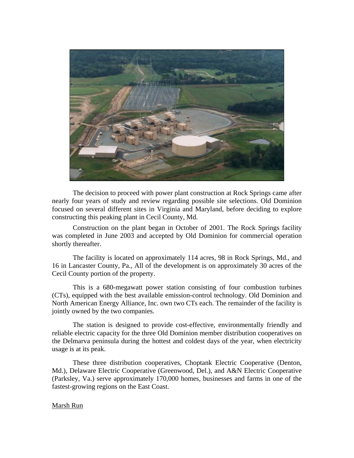

The decision to proceed with power plant construction at Rock Springs came after nearly four years of study and review regarding possible site selections. Old Dominion focused on several different sites in Virginia and Maryland, before deciding to explore constructing this peaking plant in Cecil County, Md.

Construction on the plant began in October of 2001. The Rock Springs facility was completed in June 2003 and accepted by Old Dominion for commercial operation shortly thereafter.

The facility is located on approximately 114 acres, 98 in Rock Springs, Md., and 16 in Lancaster County, Pa., All of the development is on approximately 30 acres of the Cecil County portion of the property.

This is a 680-megawatt power station consisting of four combustion turbines (CTs), equipped with the best available emission-control technology. Old Dominion and North American Energy Alliance, Inc. own two CTs each. The remainder of the facility is jointly owned by the two companies.

The station is designed to provide cost-effective, environmentally friendly and reliable electric capacity for the three Old Dominion member distribution cooperatives on the Delmarva peninsula during the hottest and coldest days of the year, when electricity usage is at its peak.

These three distribution cooperatives, Choptank Electric Cooperative (Denton, Md.), Delaware Electric Cooperative (Greenwood, Del.), and A&N Electric Cooperative (Parksley, Va.) serve approximately 170,000 homes, businesses and farms in one of the fastest-growing regions on the East Coast.

#### Marsh Run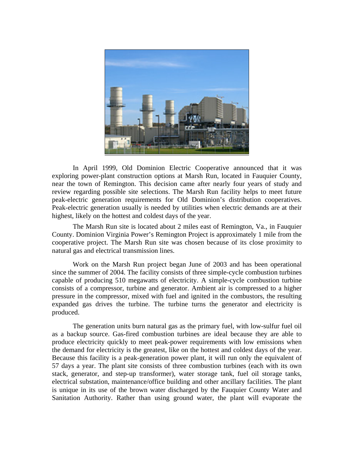

In April 1999, Old Dominion Electric Cooperative announced that it was exploring power-plant construction options at Marsh Run, located in Fauquier County, near the town of Remington. This decision came after nearly four years of study and review regarding possible site selections. The Marsh Run facility helps to meet future peak-electric generation requirements for Old Dominion's distribution cooperatives. Peak-electric generation usually is needed by utilities when electric demands are at their highest, likely on the hottest and coldest days of the year.

The Marsh Run site is located about 2 miles east of Remington, Va., in Fauquier County. Dominion Virginia Power's Remington Project is approximately 1 mile from the cooperative project. The Marsh Run site was chosen because of its close proximity to natural gas and electrical transmission lines.

Work on the Marsh Run project began June of 2003 and has been operational since the summer of 2004. The facility consists of three simple-cycle combustion turbines capable of producing 510 megawatts of electricity. A simple-cycle combustion turbine consists of a compressor, turbine and generator. Ambient air is compressed to a higher pressure in the compressor, mixed with fuel and ignited in the combustors, the resulting expanded gas drives the turbine. The turbine turns the generator and electricity is produced.

The generation units burn natural gas as the primary fuel, with low-sulfur fuel oil as a backup source. Gas-fired combustion turbines are ideal because they are able to produce electricity quickly to meet peak-power requirements with low emissions when the demand for electricity is the greatest, like on the hottest and coldest days of the year. Because this facility is a peak-generation power plant, it will run only the equivalent of 57 days a year. The plant site consists of three combustion turbines (each with its own stack, generator, and step-up transformer), water storage tank, fuel oil storage tanks, electrical substation, maintenance/office building and other ancillary facilities. The plant is unique in its use of the brown water discharged by the Fauquier County Water and Sanitation Authority. Rather than using ground water, the plant will evaporate the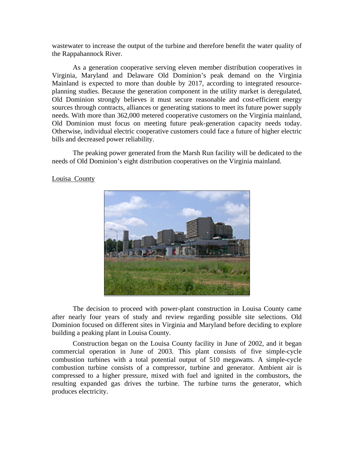wastewater to increase the output of the turbine and therefore benefit the water quality of the Rappahannock River.

As a generation cooperative serving eleven member distribution cooperatives in Virginia, Maryland and Delaware Old Dominion's peak demand on the Virginia Mainland is expected to more than double by 2017, according to integrated resourceplanning studies. Because the generation component in the utility market is deregulated, Old Dominion strongly believes it must secure reasonable and cost-efficient energy sources through contracts, alliances or generating stations to meet its future power supply needs. With more than 362,000 metered cooperative customers on the Virginia mainland, Old Dominion must focus on meeting future peak-generation capacity needs today. Otherwise, individual electric cooperative customers could face a future of higher electric bills and decreased power reliability.

The peaking power generated from the Marsh Run facility will be dedicated to the needs of Old Dominion's eight distribution cooperatives on the Virginia mainland.



Louisa County

The decision to proceed with power-plant construction in Louisa County came after nearly four years of study and review regarding possible site selections. Old Dominion focused on different sites in Virginia and Maryland before deciding to explore building a peaking plant in Louisa County.

Construction began on the Louisa County facility in June of 2002, and it began commercial operation in June of 2003. This plant consists of five simple-cycle combustion turbines with a total potential output of 510 megawatts. A simple-cycle combustion turbine consists of a compressor, turbine and generator. Ambient air is compressed to a higher pressure, mixed with fuel and ignited in the combustors, the resulting expanded gas drives the turbine. The turbine turns the generator, which produces electricity.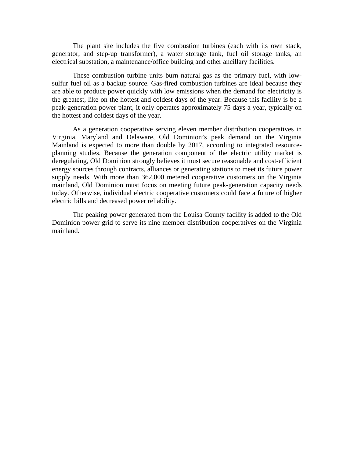The plant site includes the five combustion turbines (each with its own stack, generator, and step-up transformer), a water storage tank, fuel oil storage tanks, an electrical substation, a maintenance/office building and other ancillary facilities.

These combustion turbine units burn natural gas as the primary fuel, with lowsulfur fuel oil as a backup source. Gas-fired combustion turbines are ideal because they are able to produce power quickly with low emissions when the demand for electricity is the greatest, like on the hottest and coldest days of the year. Because this facility is be a peak-generation power plant, it only operates approximately 75 days a year, typically on the hottest and coldest days of the year.

As a generation cooperative serving eleven member distribution cooperatives in Virginia, Maryland and Delaware, Old Dominion's peak demand on the Virginia Mainland is expected to more than double by 2017, according to integrated resourceplanning studies. Because the generation component of the electric utility market is deregulating, Old Dominion strongly believes it must secure reasonable and cost-efficient energy sources through contracts, alliances or generating stations to meet its future power supply needs. With more than 362,000 metered cooperative customers on the Virginia mainland, Old Dominion must focus on meeting future peak-generation capacity needs today. Otherwise, individual electric cooperative customers could face a future of higher electric bills and decreased power reliability.

The peaking power generated from the Louisa County facility is added to the Old Dominion power grid to serve its nine member distribution cooperatives on the Virginia mainland.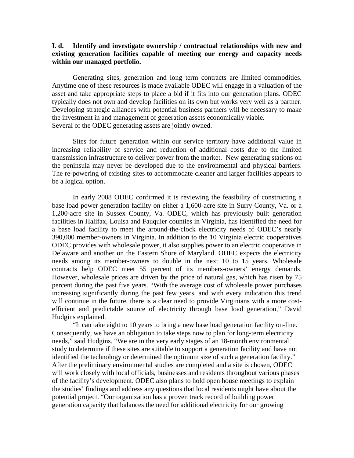#### **I. d. Identify and investigate ownership / contractual relationships with new and existing generation facilities capable of meeting our energy and capacity needs within our managed portfolio.**

Generating sites, generation and long term contracts are limited commodities. Anytime one of these resources is made available ODEC will engage in a valuation of the asset and take appropriate steps to place a bid if it fits into our generation plans. ODEC typically does not own and develop facilities on its own but works very well as a partner. Developing strategic alliances with potential business partners will be necessary to make the investment in and management of generation assets economically viable. Several of the ODEC generating assets are jointly owned.

 Sites for future generation within our service territory have additional value in increasing reliability of service and reduction of additional costs due to the limited transmission infrastructure to deliver power from the market. New generating stations on the peninsula may never be developed due to the environmental and physical barriers. The re-powering of existing sites to accommodate cleaner and larger facilities appears to be a logical option.

 In early 2008 ODEC confirmed it is reviewing the feasibility of constructing a base load power generation facility on either a 1,600-acre site in Surry County, Va. or a 1,200-acre site in Sussex County, Va. ODEC, which has previously built generation facilities in Halifax, Louisa and Fauquier counties in Virginia, has identified the need for a base load facility to meet the around-the-clock electricity needs of ODEC's nearly 390,000 member-owners in Virginia. In addition to the 10 Virginia electric cooperatives ODEC provides with wholesale power, it also supplies power to an electric cooperative in Delaware and another on the Eastern Shore of Maryland. ODEC expects the electricity needs among its member-owners to double in the next 10 to 15 years. Wholesale contracts help ODEC meet 55 percent of its members-owners' energy demands. However, wholesale prices are driven by the price of natural gas, which has risen by 75 percent during the past five years. "With the average cost of wholesale power purchases increasing significantly during the past few years, and with every indication this trend will continue in the future, there is a clear need to provide Virginians with a more costefficient and predictable source of electricity through base load generation," David Hudgins explained.

"It can take eight to 10 years to bring a new base load generation facility on-line. Consequently, we have an obligation to take steps now to plan for long-term electricity needs," said Hudgins. "We are in the very early stages of an 18-month environmental study to determine if these sites are suitable to support a generation facility and have not identified the technology or determined the optimum size of such a generation facility." After the preliminary environmental studies are completed and a site is chosen, ODEC will work closely with local officials, businesses and residents throughout various phases of the facility's development. ODEC also plans to hold open house meetings to explain the studies' findings and address any questions that local residents might have about the potential project. "Our organization has a proven track record of building power generation capacity that balances the need for additional electricity for our growing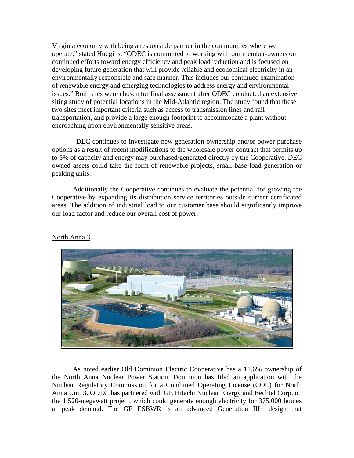Virginia economy with being a responsible partner in the communities where we operate," stated Hudgins. "ODEC is committed to working with our member-owners on continued efforts toward energy efficiency and peak load reduction and is focused on developing future generation that will provide reliable and economical electricity in an environmentally responsible and safe manner. This includes our continued examination of renewable energy and emerging technologies to address energy and environmental issues." Both sites were chosen for final assessment after ODEC conducted an extensive siting study of potential locations in the Mid-Atlantic region. The study found that these two sites meet important criteria such as access to transmission lines and rail transportation, and provide a large enough footprint to accommodate a plant without encroaching upon environmentally sensitive areas.

 DEC continues to investigate new generation ownership and/or power purchase options as a result of recent modifications to the wholesale power contract that permits up to 5% of capacity and energy may purchased/generated directly by the Cooperative. DEC owned assets could take the form of renewable projects, small base load generation or peaking units.

Additionally the Cooperative continues to evaluate the potential for growing the Cooperative by expanding its distribution service territories outside current certificated areas. The addition of industrial load to our customer base should significantly improve our load factor and reduce our overall cost of power.



#### North Anna 3

As noted earlier Old Dominion Electric Cooperative has a 11.6% ownership of the North Anna Nuclear Power Station. Dominion has filed an application with the Nuclear Regulatory Commission for a Combined Operating License (COL) for North Anna Unit 3. ODEC has partnered with GE Hitachi Nuclear Energy and Bechtel Corp. on the 1,520-megawatt project, which could generate enough electricity for 375,000 homes at peak demand. The GE ESBWR is an advanced Generation III+ design that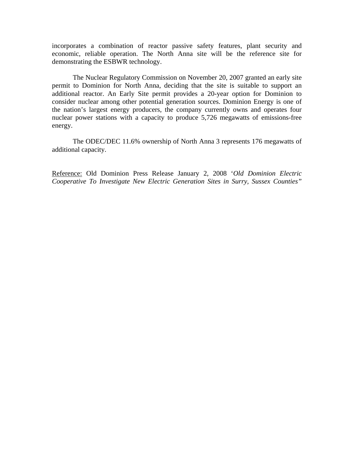incorporates a combination of reactor passive safety features, plant security and economic, reliable operation. The North Anna site will be the reference site for demonstrating the ESBWR technology.

The Nuclear Regulatory Commission on November 20, 2007 granted an early site permit to Dominion for North Anna, deciding that the site is suitable to support an additional reactor. An Early Site permit provides a 20-year option for Dominion to consider nuclear among other potential generation sources. Dominion Energy is one of the nation's largest energy producers, the company currently owns and operates four nuclear power stations with a capacity to produce 5,726 megawatts of emissions-free energy.

The ODEC/DEC 11.6% ownership of North Anna 3 represents 176 megawatts of additional capacity.

Reference: Old Dominion Press Release January 2, 2008 '*Old Dominion Electric Cooperative To Investigate New Electric Generation Sites in Surry, Sussex Counties"*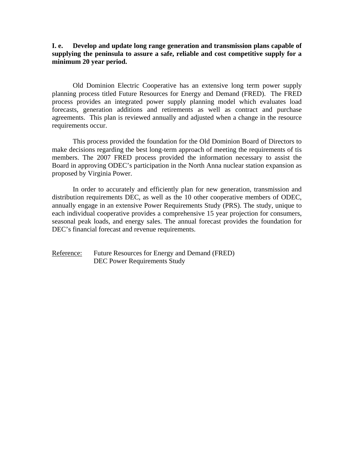**I. e. Develop and update long range generation and transmission plans capable of supplying the peninsula to assure a safe, reliable and cost competitive supply for a minimum 20 year period.** 

Old Dominion Electric Cooperative has an extensive long term power supply planning process titled Future Resources for Energy and Demand (FRED). The FRED process provides an integrated power supply planning model which evaluates load forecasts, generation additions and retirements as well as contract and purchase agreements. This plan is reviewed annually and adjusted when a change in the resource requirements occur.

 This process provided the foundation for the Old Dominion Board of Directors to make decisions regarding the best long-term approach of meeting the requirements of tis members. The 2007 FRED process provided the information necessary to assist the Board in approving ODEC's participation in the North Anna nuclear station expansion as proposed by Virginia Power.

In order to accurately and efficiently plan for new generation, transmission and distribution requirements DEC, as well as the 10 other cooperative members of ODEC, annually engage in an extensive Power Requirements Study (PRS). The study, unique to each individual cooperative provides a comprehensive 15 year projection for consumers, seasonal peak loads, and energy sales. The annual forecast provides the foundation for DEC's financial forecast and revenue requirements.

Reference: Future Resources for Energy and Demand (FRED) DEC Power Requirements Study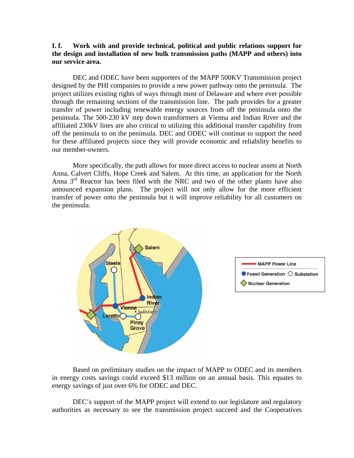#### **I. f. Work with and provide technical, political and public relations support for the design and installation of new bulk transmission paths (MAPP and others) into our service area.**

DEC and ODEC have been supporters of the MAPP 500KV Transmission project designed by the PHI companies to provide a new power pathway onto the peninsula. The project utilizes existing rights of ways through most of Delaware and where ever possible through the remaining sections of the transmission line. The path provides for a greater transfer of power including renewable energy sources from off the peninsula onto the peninsula. The 500-230 kV step down transformers at Vienna and Indian River and the affiliated 230kV lines are also critical to utilizing this additional transfer capability from off the peninsula to on the peninsula. DEC and ODEC will continue to support the need for these affiliated projects since they will provide economic and reliability benefits to our member-owners.

More specifically, the path allows for more direct access to nuclear assets at North Anna, Calvert Cliffs, Hope Creek and Salem. At this time, an application for the North Anna  $3<sup>rd</sup>$  Reactor has been filed with the NRC and two of the other plants have also announced expansion plans. The project will not only allow for the more efficient transfer of power onto the peninsula but it will improve reliability for all customers on the peninsula.



Based on preliminary studies on the impact of MAPP to ODEC and its members in energy costs savings could exceed \$13 million on an annual basis. This equates to energy savings of just over 6% for ODEC and DEC.

DEC's support of the MAPP project will extend to our legislature and regulatory authorities as necessary to see the transmission project succeed and the Cooperatives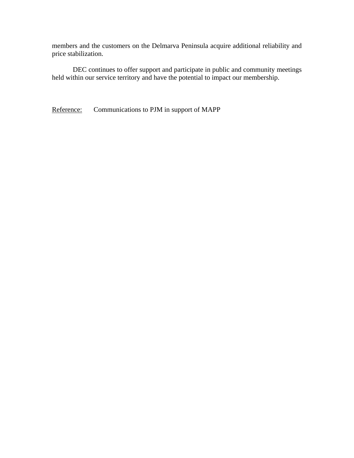members and the customers on the Delmarva Peninsula acquire additional reliability and price stabilization.

DEC continues to offer support and participate in public and community meetings held within our service territory and have the potential to impact our membership.

Reference: Communications to PJM in support of MAPP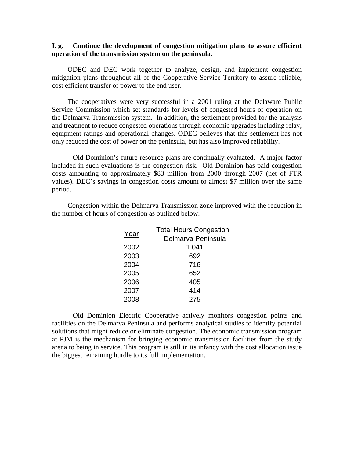#### **I. g. Continue the development of congestion mitigation plans to assure efficient operation of the transmission system on the peninsula.**

ODEC and DEC work together to analyze, design, and implement congestion mitigation plans throughout all of the Cooperative Service Territory to assure reliable, cost efficient transfer of power to the end user.

The cooperatives were very successful in a 2001 ruling at the Delaware Public Service Commission which set standards for levels of congested hours of operation on the Delmarva Transmission system. In addition, the settlement provided for the analysis and treatment to reduce congested operations through economic upgrades including relay, equipment ratings and operational changes. ODEC believes that this settlement has not only reduced the cost of power on the peninsula, but has also improved reliability.

Old Dominion's future resource plans are continually evaluated. A major factor included in such evaluations is the congestion risk. Old Dominion has paid congestion costs amounting to approximately \$83 million from 2000 through 2007 (net of FTR values). DEC's savings in congestion costs amount to almost \$7 million over the same period.

Congestion within the Delmarva Transmission zone improved with the reduction in the number of hours of congestion as outlined below:

| Year | <b>Total Hours Congestion</b><br>Delmarva Peninsula |  |  |  |
|------|-----------------------------------------------------|--|--|--|
|      |                                                     |  |  |  |
| 2002 | 1,041                                               |  |  |  |
| 2003 | 692                                                 |  |  |  |
| 2004 | 716                                                 |  |  |  |
| 2005 | 652                                                 |  |  |  |
| 2006 | 405                                                 |  |  |  |
| 2007 | 414                                                 |  |  |  |
| 2008 | 275                                                 |  |  |  |

Old Dominion Electric Cooperative actively monitors congestion points and facilities on the Delmarva Peninsula and performs analytical studies to identify potential solutions that might reduce or eliminate congestion. The economic transmission program at PJM is the mechanism for bringing economic transmission facilities from the study arena to being in service. This program is still in its infancy with the cost allocation issue the biggest remaining hurdle to its full implementation.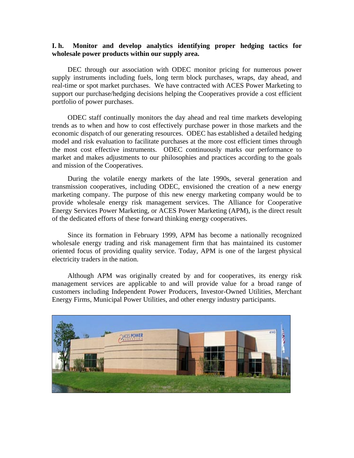#### **I. h. Monitor and develop analytics identifying proper hedging tactics for wholesale power products within our supply area.**

DEC through our association with ODEC monitor pricing for numerous power supply instruments including fuels, long term block purchases, wraps, day ahead, and real-time or spot market purchases. We have contracted with ACES Power Marketing to support our purchase/hedging decisions helping the Cooperatives provide a cost efficient portfolio of power purchases.

ODEC staff continually monitors the day ahead and real time markets developing trends as to when and how to cost effectively purchase power in those markets and the economic dispatch of our generating resources. ODEC has established a detailed hedging model and risk evaluation to facilitate purchases at the more cost efficient times through the most cost effective instruments. ODEC continuously marks our performance to market and makes adjustments to our philosophies and practices according to the goals and mission of the Cooperatives.

During the volatile energy markets of the late 1990s, several generation and transmission cooperatives, including ODEC, envisioned the creation of a new energy marketing company. The purpose of this new energy marketing company would be to provide wholesale energy risk management services. The Alliance for Cooperative Energy Services Power Marketing, or ACES Power Marketing (APM), is the direct result of the dedicated efforts of these forward thinking energy cooperatives.

Since its formation in February 1999, APM has become a nationally recognized wholesale energy trading and risk management firm that has maintained its customer oriented focus of providing quality service. Today, APM is one of the largest physical electricity traders in the nation.

Although APM was originally created by and for cooperatives, its energy risk management services are applicable to and will provide value for a broad range of customers including Independent Power Producers, Investor-Owned Utilities, Merchant Energy Firms, Municipal Power Utilities, and other energy industry participants.

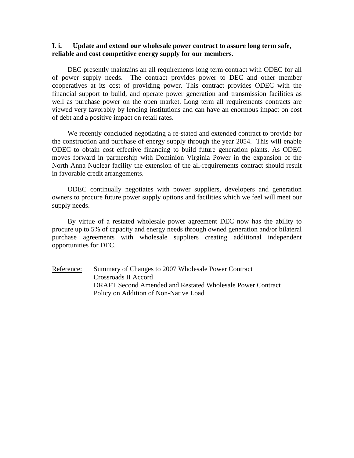#### **I. i. Update and extend our wholesale power contract to assure long term safe, reliable and cost competitive energy supply for our members.**

DEC presently maintains an all requirements long term contract with ODEC for all of power supply needs. The contract provides power to DEC and other member cooperatives at its cost of providing power. This contract provides ODEC with the financial support to build, and operate power generation and transmission facilities as well as purchase power on the open market. Long term all requirements contracts are viewed very favorably by lending institutions and can have an enormous impact on cost of debt and a positive impact on retail rates.

We recently concluded negotiating a re-stated and extended contract to provide for the construction and purchase of energy supply through the year 2054. This will enable ODEC to obtain cost effective financing to build future generation plants. As ODEC moves forward in partnership with Dominion Virginia Power in the expansion of the North Anna Nuclear facility the extension of the all-requirements contract should result in favorable credit arrangements.

ODEC continually negotiates with power suppliers, developers and generation owners to procure future power supply options and facilities which we feel will meet our supply needs.

By virtue of a restated wholesale power agreement DEC now has the ability to procure up to 5% of capacity and energy needs through owned generation and/or bilateral purchase agreements with wholesale suppliers creating additional independent opportunities for DEC.

Reference: Summary of Changes to 2007 Wholesale Power Contract Crossroads II Accord DRAFT Second Amended and Restated Wholesale Power Contract Policy on Addition of Non-Native Load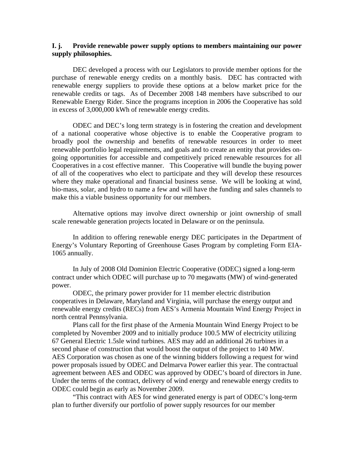#### **I. j. Provide renewable power supply options to members maintaining our power supply philosophies.**

DEC developed a process with our Legislators to provide member options for the purchase of renewable energy credits on a monthly basis. DEC has contracted with renewable energy suppliers to provide these options at a below market price for the renewable credits or tags. As of December 2008 148 members have subscribed to our Renewable Energy Rider. Since the programs inception in 2006 the Cooperative has sold in excess of 3,000,000 kWh of renewable energy credits.

ODEC and DEC's long term strategy is in fostering the creation and development of a national cooperative whose objective is to enable the Cooperative program to broadly pool the ownership and benefits of renewable resources in order to meet renewable portfolio legal requirements, and goals and to create an entity that provides ongoing opportunities for accessible and competitively priced renewable resources for all Cooperatives in a cost effective manner. This Cooperative will bundle the buying power of all of the cooperatives who elect to participate and they will develop these resources where they make operational and financial business sense. We will be looking at wind, bio-mass, solar, and hydro to name a few and will have the funding and sales channels to make this a viable business opportunity for our members.

Alternative options may involve direct ownership or joint ownership of small scale renewable generation projects located in Delaware or on the peninsula.

In addition to offering renewable energy DEC participates in the Department of Energy's Voluntary Reporting of Greenhouse Gases Program by completing Form EIA-1065 annually.

 In July of 2008 Old Dominion Electric Cooperative (ODEC) signed a long-term contract under which ODEC will purchase up to 70 megawatts (MW) of wind-generated power.

ODEC, the primary power provider for 11 member electric distribution cooperatives in Delaware, Maryland and Virginia, will purchase the energy output and renewable energy credits (RECs) from AES's Armenia Mountain Wind Energy Project in north central Pennsylvania.

Plans call for the first phase of the Armenia Mountain Wind Energy Project to be completed by November 2009 and to initially produce 100.5 MW of electricity utilizing 67 General Electric 1.5sle wind turbines. AES may add an additional 26 turbines in a second phase of construction that would boost the output of the project to 140 MW. AES Corporation was chosen as one of the winning bidders following a request for wind power proposals issued by ODEC and Delmarva Power earlier this year. The contractual agreement between AES and ODEC was approved by ODEC's board of directors in June. Under the terms of the contract, delivery of wind energy and renewable energy credits to ODEC could begin as early as November 2009.

"This contract with AES for wind generated energy is part of ODEC's long-term plan to further diversify our portfolio of power supply resources for our member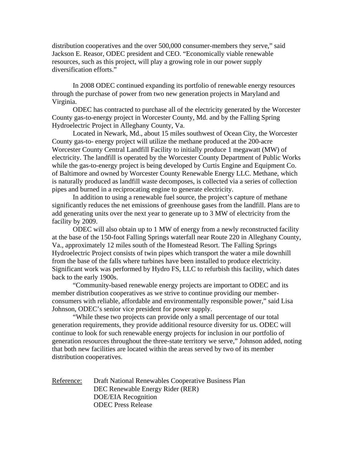distribution cooperatives and the over 500,000 consumer-members they serve," said Jackson E. Reasor, ODEC president and CEO. "Economically viable renewable resources, such as this project, will play a growing role in our power supply diversification efforts."

In 2008 ODEC continued expanding its portfolio of renewable energy resources through the purchase of power from two new generation projects in Maryland and Virginia.

ODEC has contracted to purchase all of the electricity generated by the Worcester County gas-to-energy project in Worcester County, Md. and by the Falling Spring Hydroelectric Project in Alleghany County, Va.

Located in Newark, Md., about 15 miles southwest of Ocean City, the Worcester County gas-to- energy project will utilize the methane produced at the 200-acre Worcester County Central Landfill Facility to initially produce 1 megawatt (MW) of electricity. The landfill is operated by the Worcester County Department of Public Works while the gas-to-energy project is being developed by Curtis Engine and Equipment Co. of Baltimore and owned by Worcester County Renewable Energy LLC. Methane, which is naturally produced as landfill waste decomposes, is collected via a series of collection pipes and burned in a reciprocating engine to generate electricity.

In addition to using a renewable fuel source, the project's capture of methane significantly reduces the net emissions of greenhouse gases from the landfill. Plans are to add generating units over the next year to generate up to 3 MW of electricity from the facility by 2009.

ODEC will also obtain up to 1 MW of energy from a newly reconstructed facility at the base of the 150-foot Falling Springs waterfall near Route 220 in Alleghany County, Va., approximately 12 miles south of the Homestead Resort. The Falling Springs Hydroelectric Project consists of twin pipes which transport the water a mile downhill from the base of the falls where turbines have been installed to produce electricity. Significant work was performed by Hydro FS, LLC to refurbish this facility, which dates back to the early 1900s.

"Community-based renewable energy projects are important to ODEC and its member distribution cooperatives as we strive to continue providing our memberconsumers with reliable, affordable and environmentally responsible power," said Lisa Johnson, ODEC's senior vice president for power supply.

"While these two projects can provide only a small percentage of our total generation requirements, they provide additional resource diversity for us. ODEC will continue to look for such renewable energy projects for inclusion in our portfolio of generation resources throughout the three-state territory we serve," Johnson added, noting that both new facilities are located within the areas served by two of its member distribution cooperatives.

Reference: Draft National Renewables Cooperative Business Plan DEC Renewable Energy Rider (RER) DOE/EIA Recognition ODEC Press Release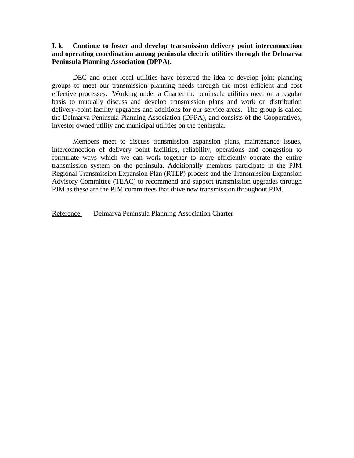#### **I. k. Continue to foster and develop transmission delivery point interconnection and operating coordination among peninsula electric utilities through the Delmarva Peninsula Planning Association (DPPA).**

DEC and other local utilities have fostered the idea to develop joint planning groups to meet our transmission planning needs through the most efficient and cost effective processes. Working under a Charter the peninsula utilities meet on a regular basis to mutually discuss and develop transmission plans and work on distribution delivery-point facility upgrades and additions for our service areas. The group is called the Delmarva Peninsula Planning Association (DPPA), and consists of the Cooperatives, investor owned utility and municipal utilities on the peninsula.

 Members meet to discuss transmission expansion plans, maintenance issues, interconnection of delivery point facilities, reliability, operations and congestion to formulate ways which we can work together to more efficiently operate the entire transmission system on the peninsula. Additionally members participate in the PJM Regional Transmission Expansion Plan (RTEP) process and the Transmission Expansion Advisory Committee (TEAC) to recommend and support transmission upgrades through PJM as these are the PJM committees that drive new transmission throughout PJM.

Reference: Delmarva Peninsula Planning Association Charter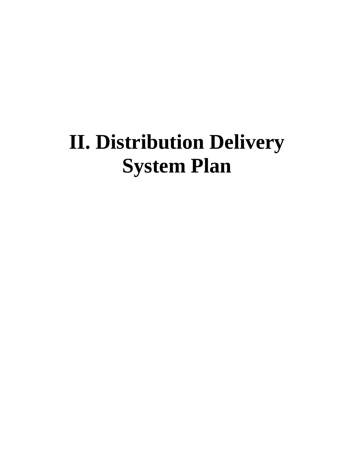# **II. Distribution Delivery System Plan**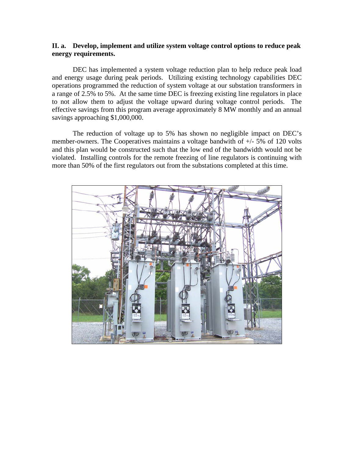#### **II. a. Develop, implement and utilize system voltage control options to reduce peak energy requirements.**

DEC has implemented a system voltage reduction plan to help reduce peak load and energy usage during peak periods. Utilizing existing technology capabilities DEC operations programmed the reduction of system voltage at our substation transformers in a range of 2.5% to 5%. At the same time DEC is freezing existing line regulators in place to not allow them to adjust the voltage upward during voltage control periods. The effective savings from this program average approximately 8 MW monthly and an annual savings approaching \$1,000,000.

The reduction of voltage up to 5% has shown no negligible impact on DEC's member-owners. The Cooperatives maintains a voltage bandwith of +/- 5% of 120 volts and this plan would be constructed such that the low end of the bandwidth would not be violated. Installing controls for the remote freezing of line regulators is continuing with more than 50% of the first regulators out from the substations completed at this time.

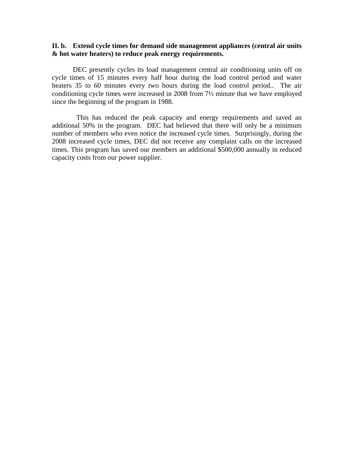#### **II. b. Extend cycle times for demand side management appliances (central air units & hot water heaters) to reduce peak energy requirements.**

DEC presently cycles its load management central air conditioning units off on cycle times of 15 minutes every half hour during the load control period and water heaters 35 to 60 minutes every two hours during the load control period.. The air conditioning cycle times were increased in 2008 from 7½ minute that we have employed since the beginning of the program in 1988.

 This has reduced the peak capacity and energy requirements and saved an additional 50% in the program. DEC had believed that there will only be a minimum number of members who even notice the increased cycle times. Surprisingly, during the 2008 increased cycle times, DEC did not receive any complaint calls on the increased times. This program has saved our members an additional \$500,000 annually in reduced capacity costs from our power supplier.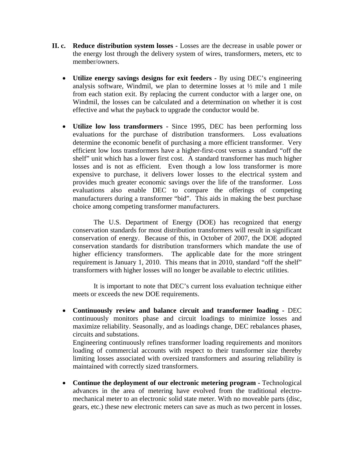- **II. c. Reduce distribution system losses** Losses are the decrease in usable power or the energy lost through the delivery system of wires, transformers, meters, etc to member/owners.
	- **Utilize energy savings designs for exit feeders** By using DEC's engineering analysis software, Windmil, we plan to determine losses at ½ mile and 1 mile from each station exit. By replacing the current conductor with a larger one, on Windmil, the losses can be calculated and a determination on whether it is cost effective and what the payback to upgrade the conductor would be.
	- **Utilize low loss transformers** Since 1995, DEC has been performing loss evaluations for the purchase of distribution transformers. Loss evaluations determine the economic benefit of purchasing a more efficient transformer. Very efficient low loss transformers have a higher-first-cost versus a standard "off the shelf" unit which has a lower first cost. A standard transformer has much higher losses and is not as efficient. Even though a low loss transformer is more expensive to purchase, it delivers lower losses to the electrical system and provides much greater economic savings over the life of the transformer. Loss evaluations also enable DEC to compare the offerings of competing manufacturers during a transformer "bid". This aids in making the best purchase choice among competing transformer manufacturers.

The U.S. Department of Energy (DOE) has recognized that energy conservation standards for most distribution transformers will result in significant conservation of energy. Because of this, in October of 2007, the DOE adopted conservation standards for distribution transformers which mandate the use of higher efficiency transformers. The applicable date for the more stringent requirement is January 1, 2010. This means that in 2010, standard "off the shelf" transformers with higher losses will no longer be available to electric utilities.

It is important to note that DEC's current loss evaluation technique either meets or exceeds the new DOE requirements.

• **Continuously review and balance circuit and transformer loading -** DEC continuously monitors phase and circuit loadings to minimize losses and maximize reliability. Seasonally, and as loadings change, DEC rebalances phases, circuits and substations.

Engineering continuously refines transformer loading requirements and monitors loading of commercial accounts with respect to their transformer size thereby limiting losses associated with oversized transformers and assuring reliability is maintained with correctly sized transformers.

• Continue the deployment of our electronic metering program - Technological advances in the area of metering have evolved from the traditional electromechanical meter to an electronic solid state meter. With no moveable parts (disc, gears, etc.) these new electronic meters can save as much as two percent in losses.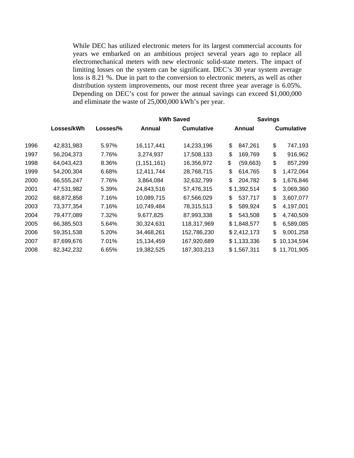While DEC has utilized electronic meters for its largest commercial accounts for years we embarked on an ambitious project several years ago to replace all electromechanical meters with new electronic solid-state meters. The impact of limiting losses on the system can be significant. DEC's 30 year system average loss is 8.21 %. Due in part to the conversion to electronic meters, as well as other distribution system improvements, our most recent three year average is 6.05%. Depending on DEC's cost for power the annual savings can exceed \$1,000,000 and eliminate the waste of 25,000,000 kWh's per year.

|      |            |          | kWh Saved     |                   | <b>Savings</b> |                   |
|------|------------|----------|---------------|-------------------|----------------|-------------------|
|      | Losses/kWh | Losses/% | Annual        | <b>Cumulative</b> | Annual         | <b>Cumulative</b> |
| 1996 | 42,831,983 | 5.97%    | 16,117,441    | 14,233,196        | \$<br>847,261  | \$<br>747,193     |
| 1997 | 56,204,373 | 7.76%    | 3,274,937     | 17,508,133        | \$<br>169,769  | \$<br>916,962     |
| 1998 | 64,043,423 | 8.36%    | (1, 151, 161) | 16,356,972        | \$<br>(59,663) | \$<br>857,299     |
| 1999 | 54,200,304 | 6.68%    | 12,411,744    | 28,768,715        | \$<br>614,765  | \$<br>1,472,064   |
| 2000 | 66,555,247 | 7.76%    | 3,864,084     | 32,632,799        | \$<br>204,782  | \$<br>1,676,846   |
| 2001 | 47,531,982 | 5.39%    | 24,843,516    | 57,476,315        | \$1,392,514    | \$<br>3,069,360   |
| 2002 | 68,872,858 | 7.16%    | 10,089,715    | 67,566,029        | \$<br>537,717  | \$<br>3,607,077   |
| 2003 | 73,377,354 | 7.16%    | 10,749,484    | 78,315,513        | \$<br>589,924  | \$<br>4,197,001   |
| 2004 | 79,477,089 | 7.32%    | 9,677,825     | 87,993,338        | \$<br>543,508  | \$<br>4,740,509   |
| 2005 | 66,385,503 | 5.64%    | 30,324,631    | 118,317,969       | \$1,848,577    | \$<br>6,589,085   |
| 2006 | 59,351,538 | 5.20%    | 34,468,261    | 152,786,230       | \$2,412,173    | \$<br>9,001,258   |
| 2007 | 87,699,676 | 7.01%    | 15,134,459    | 167,920,689       | \$1,133,336    | \$<br>10,134,594  |
| 2008 | 82,342,232 | 6.65%    | 19,382,525    | 187,303,213       | \$1,567,311    | 11,701,905<br>\$  |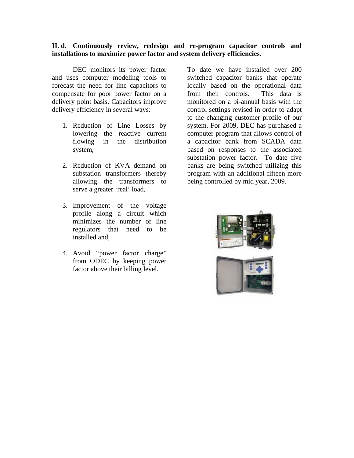#### **II. d. Continuously review, redesign and re-program capacitor controls and installations to maximize power factor and system delivery efficiencies.**

DEC monitors its power factor and uses computer modeling tools to forecast the need for line capacitors to compensate for poor power factor on a delivery point basis. Capacitors improve delivery efficiency in several ways:

- 1. Reduction of Line Losses by lowering the reactive current flowing in the distribution system,
- 2. Reduction of KVA demand on substation transformers thereby allowing the transformers to serve a greater 'real' load,
- 3. Improvement of the voltage profile along a circuit which minimizes the number of line regulators that need to be installed and,
- 4. Avoid "power factor charge" from ODEC by keeping power factor above their billing level.

To date we have installed over 200 switched capacitor banks that operate locally based on the operational data from their controls. This data is monitored on a bi-annual basis with the control settings revised in order to adapt to the changing customer profile of our system. For 2009, DEC has purchased a computer program that allows control of a capacitor bank from SCADA data based on responses to the associated substation power factor. To date five banks are being switched utilizing this program with an additional fifteen more being controlled by mid year, 2009.

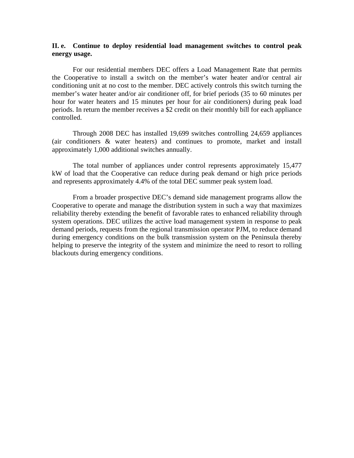#### **II. e. Continue to deploy residential load management switches to control peak energy usage.**

For our residential members DEC offers a Load Management Rate that permits the Cooperative to install a switch on the member's water heater and/or central air conditioning unit at no cost to the member. DEC actively controls this switch turning the member's water heater and/or air conditioner off, for brief periods (35 to 60 minutes per hour for water heaters and 15 minutes per hour for air conditioners) during peak load periods. In return the member receives a \$2 credit on their monthly bill for each appliance controlled.

Through 2008 DEC has installed 19,699 switches controlling 24,659 appliances (air conditioners & water heaters) and continues to promote, market and install approximately 1,000 additional switches annually.

The total number of appliances under control represents approximately 15,477 kW of load that the Cooperative can reduce during peak demand or high price periods and represents approximately 4.4% of the total DEC summer peak system load.

From a broader prospective DEC's demand side management programs allow the Cooperative to operate and manage the distribution system in such a way that maximizes reliability thereby extending the benefit of favorable rates to enhanced reliability through system operations. DEC utilizes the active load management system in response to peak demand periods, requests from the regional transmission operator PJM, to reduce demand during emergency conditions on the bulk transmission system on the Peninsula thereby helping to preserve the integrity of the system and minimize the need to resort to rolling blackouts during emergency conditions.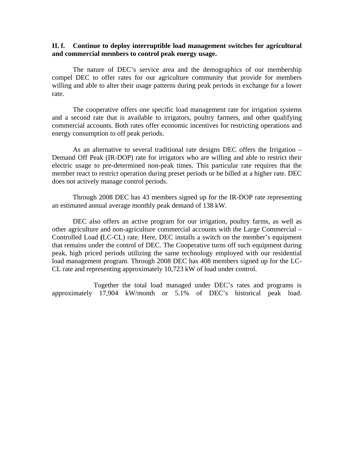#### **II. f. Continue to deploy interruptible load management switches for agricultural and commercial members to control peak energy usage.**

 The nature of DEC's service area and the demographics of our membership compel DEC to offer rates for our agriculture community that provide for members willing and able to alter their usage patterns during peak periods in exchange for a lower rate.

 The cooperative offers one specific load management rate for irrigation systems and a second rate that is available to irrigators, poultry farmers, and other qualifying commercial accounts. Both rates offer economic incentives for restricting operations and energy consumption to off peak periods.

As an alternative to several traditional rate designs DEC offers the Irrigation – Demand Off Peak (IR-DOP) rate for irrigators who are willing and able to restrict their electric usage to pre-determined non-peak times. This particular rate requires that the member react to restrict operation during preset periods or be billed at a higher rate. DEC does not actively manage control periods.

Through 2008 DEC has 43 members signed up for the IR-DOP rate representing an estimated annual average monthly peak demand of 138 kW.

DEC also offers an active program for our irrigation, poultry farms, as well as other agriculture and non-agriculture commercial accounts with the Large Commercial – Controlled Load **(**LC-CL) rate. Here, DEC installs a switch on the member's equipment that remains under the control of DEC. The Cooperative turns off such equipment during peak, high priced periods utilizing the same technology employed with our residential load management program. Through 2008 DEC has 408 members signed up for the LC-CL rate and representing approximately 10,723 kW of load under control.

 Together the total load managed under DEC's rates and programs is approximately 17,904 kW/month or 5.1% of DEC's historical peak load.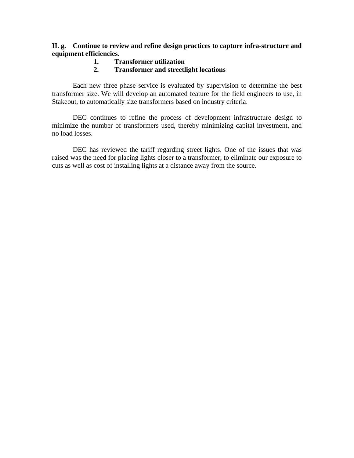### **II. g. Continue to review and refine design practices to capture infra-structure and equipment efficiencies.**

- **1. Transformer utilization**
- **2. Transformer and streetlight locations**

Each new three phase service is evaluated by supervision to determine the best transformer size. We will develop an automated feature for the field engineers to use, in Stakeout, to automatically size transformers based on industry criteria.

 DEC continues to refine the process of development infrastructure design to minimize the number of transformers used, thereby minimizing capital investment, and no load losses.

DEC has reviewed the tariff regarding street lights. One of the issues that was raised was the need for placing lights closer to a transformer, to eliminate our exposure to cuts as well as cost of installing lights at a distance away from the source.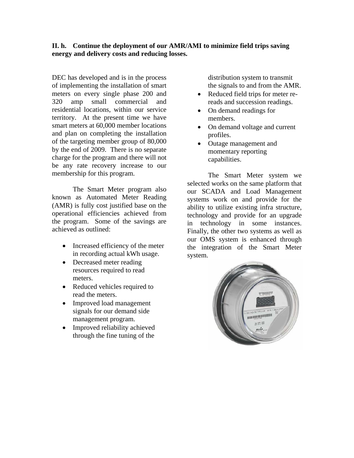# **II. h. Continue the deployment of our AMR/AMI to minimize field trips saving energy and delivery costs and reducing losses.**

DEC has developed and is in the process of implementing the installation of smart meters on every single phase 200 and 320 amp small commercial and residential locations, within our service territory. At the present time we have smart meters at 60,000 member locations and plan on completing the installation of the targeting member group of 80,000 by the end of 2009. There is no separate charge for the program and there will not be any rate recovery increase to our membership for this program.

The Smart Meter program also known as Automated Meter Reading (AMR) is fully cost justified base on the operational efficiencies achieved from the program. Some of the savings are achieved as outlined:

- Increased efficiency of the meter in recording actual kWh usage.
- Decreased meter reading resources required to read meters.
- Reduced vehicles required to read the meters.
- Improved load management signals for our demand side management program.
- Improved reliability achieved through the fine tuning of the

distribution system to transmit the signals to and from the AMR.

- Reduced field trips for meter rereads and succession readings.
- On demand readings for members.
- On demand voltage and current profiles.
- Outage management and momentary reporting capabilities.

The Smart Meter system we selected works on the same platform that our SCADA and Load Management systems work on and provide for the ability to utilize existing infra structure, technology and provide for an upgrade in technology in some instances. Finally, the other two systems as well as our OMS system is enhanced through the integration of the Smart Meter system.

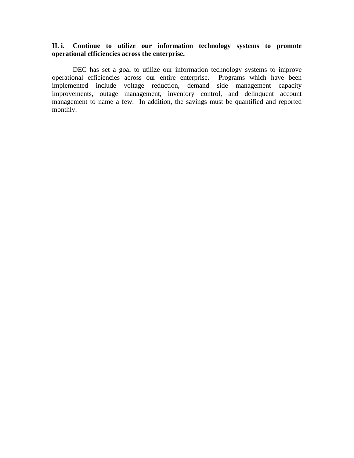# **II. i. Continue to utilize our information technology systems to promote operational efficiencies across the enterprise.**

 DEC has set a goal to utilize our information technology systems to improve operational efficiencies across our entire enterprise. Programs which have been implemented include voltage reduction, demand side management capacity improvements, outage management, inventory control, and delinquent account management to name a few. In addition, the savings must be quantified and reported monthly.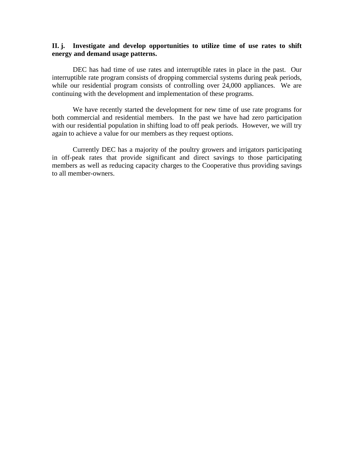#### **II. j. Investigate and develop opportunities to utilize time of use rates to shift energy and demand usage patterns.**

 DEC has had time of use rates and interruptible rates in place in the past. Our interruptible rate program consists of dropping commercial systems during peak periods, while our residential program consists of controlling over 24,000 appliances. We are continuing with the development and implementation of these programs.

We have recently started the development for new time of use rate programs for both commercial and residential members. In the past we have had zero participation with our residential population in shifting load to off peak periods. However, we will try again to achieve a value for our members as they request options.

Currently DEC has a majority of the poultry growers and irrigators participating in off-peak rates that provide significant and direct savings to those participating members as well as reducing capacity charges to the Cooperative thus providing savings to all member-owners.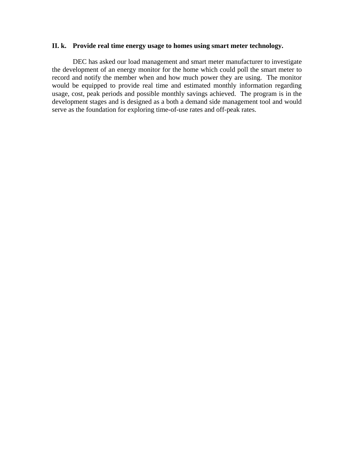#### **II. k. Provide real time energy usage to homes using smart meter technology.**

 DEC has asked our load management and smart meter manufacturer to investigate the development of an energy monitor for the home which could poll the smart meter to record and notify the member when and how much power they are using. The monitor would be equipped to provide real time and estimated monthly information regarding usage, cost, peak periods and possible monthly savings achieved. The program is in the development stages and is designed as a both a demand side management tool and would serve as the foundation for exploring time-of-use rates and off-peak rates.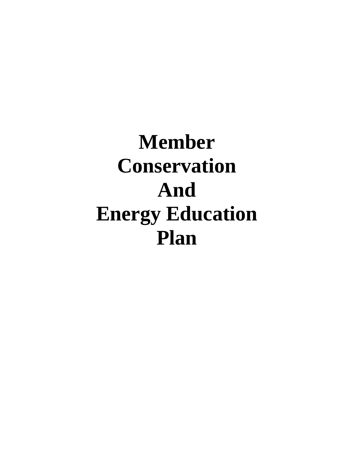# **Member Conservation And Energy Education Plan**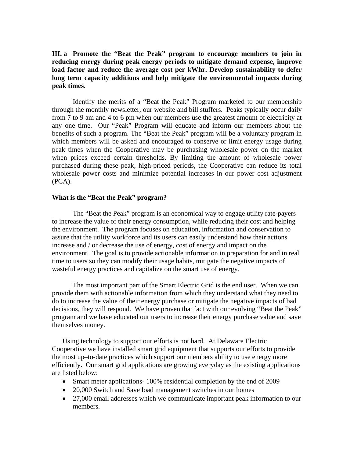**III. a Promote the "Beat the Peak" program to encourage members to join in reducing energy during peak energy periods to mitigate demand expense, improve load factor and reduce the average cost per kWhr. Develop sustainability to defer long term capacity additions and help mitigate the environmental impacts during peak times.** 

Identify the merits of a "Beat the Peak" Program marketed to our membership through the monthly newsletter, our website and bill stuffers. Peaks typically occur daily from 7 to 9 am and 4 to 6 pm when our members use the greatest amount of electricity at any one time. Our "Peak" Program will educate and inform our members about the benefits of such a program. The "Beat the Peak" program will be a voluntary program in which members will be asked and encouraged to conserve or limit energy usage during peak times when the Cooperative may be purchasing wholesale power on the market when prices exceed certain thresholds. By limiting the amount of wholesale power purchased during these peak, high-priced periods, the Cooperative can reduce its total wholesale power costs and minimize potential increases in our power cost adjustment (PCA).

#### **What is the "Beat the Peak" program?**

The "Beat the Peak" program is an economical way to engage utility rate-payers to increase the value of their energy consumption, while reducing their cost and helping the environment. The program focuses on education, information and conservation to assure that the utility workforce and its users can easily understand how their actions increase and / or decrease the use of energy, cost of energy and impact on the environment. The goal is to provide actionable information in preparation for and in real time to users so they can modify their usage habits, mitigate the negative impacts of wasteful energy practices and capitalize on the smart use of energy.

The most important part of the Smart Electric Grid is the end user. When we can provide them with actionable information from which they understand what they need to do to increase the value of their energy purchase or mitigate the negative impacts of bad decisions, they will respond. We have proven that fact with our evolving "Beat the Peak" program and we have educated our users to increase their energy purchase value and save themselves money.

Using technology to support our efforts is not hard. At Delaware Electric Cooperative we have installed smart grid equipment that supports our efforts to provide the most up–to-date practices which support our members ability to use energy more efficiently. Our smart grid applications are growing everyday as the existing applications are listed below:

- Smart meter applications- 100% residential completion by the end of 2009
- 20,000 Switch and Save load management switches in our homes
- 27,000 email addresses which we communicate important peak information to our members.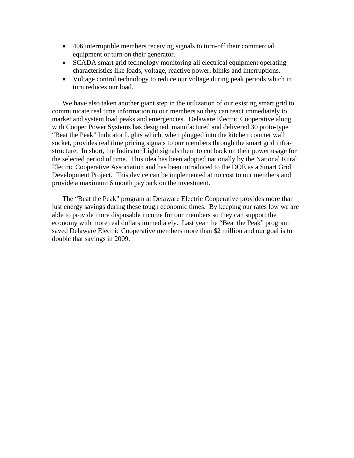- 406 interruptible members receiving signals to turn-off their commercial equipment or turn on their generator.
- SCADA smart grid technology monitoring all electrical equipment operating characteristics like loads, voltage, reactive power, blinks and interruptions.
- Voltage control technology to reduce our voltage during peak periods which in turn reduces our load.

We have also taken another giant step in the utilization of our existing smart grid to communicate real time information to our members so they can react immediately to market and system load peaks and emergencies. Delaware Electric Cooperative along with Cooper Power Systems has designed, manufactured and delivered 30 proto-type "Beat the Peak" Indicator Lights which, when plugged into the kitchen counter wall socket, provides real time pricing signals to our members through the smart grid infrastructure. In short, the Indicator Light signals them to cut back on their power usage for the selected period of time. This idea has been adopted nationally by the National Rural Electric Cooperative Association and has been introduced to the DOE as a Smart Grid Development Project. This device can be implemented at no cost to our members and provide a maximum 6 month payback on the investment.

The "Beat the Peak" program at Delaware Electric Cooperative provides more than just energy savings during these tough economic times. By keeping our rates low we are able to provide more disposable income for our members so they can support the economy with more real dollars immediately. Last year the "Beat the Peak" program saved Delaware Electric Cooperative members more than \$2 million and our goal is to double that savings in 2009.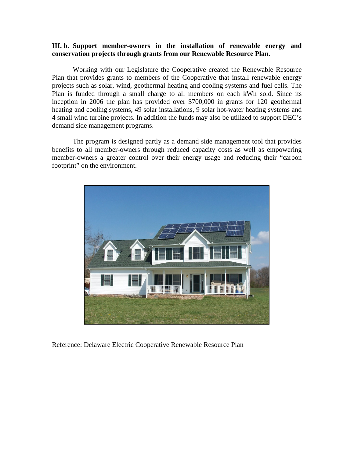#### **III. b. Support member-owners in the installation of renewable energy and conservation projects through grants from our Renewable Resource Plan.**

Working with our Legislature the Cooperative created the Renewable Resource Plan that provides grants to members of the Cooperative that install renewable energy projects such as solar, wind, geothermal heating and cooling systems and fuel cells. The Plan is funded through a small charge to all members on each kWh sold. Since its inception in 2006 the plan has provided over \$700,000 in grants for 120 geothermal heating and cooling systems, 49 solar installations, 9 solar hot-water heating systems and 4 small wind turbine projects. In addition the funds may also be utilized to support DEC's demand side management programs.

The program is designed partly as a demand side management tool that provides benefits to all member-owners through reduced capacity costs as well as empowering member-owners a greater control over their energy usage and reducing their "carbon footprint" on the environment.



Reference: Delaware Electric Cooperative Renewable Resource Plan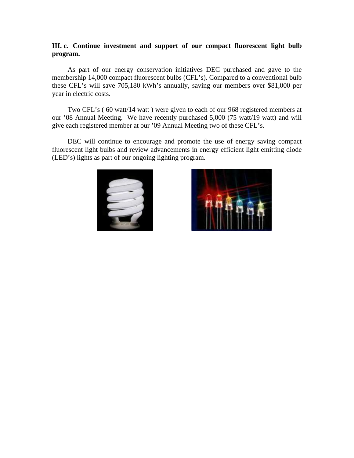#### **III. c. Continue investment and support of our compact fluorescent light bulb program.**

As part of our energy conservation initiatives DEC purchased and gave to the membership 14,000 compact fluorescent bulbs (CFL's). Compared to a conventional bulb these CFL's will save 705,180 kWh's annually, saving our members over \$81,000 per year in electric costs.

Two CFL's ( 60 watt/14 watt ) were given to each of our 968 registered members at our '08 Annual Meeting. We have recently purchased 5,000 (75 watt/19 watt) and will give each registered member at our '09 Annual Meeting two of these CFL's.

DEC will continue to encourage and promote the use of energy saving compact fluorescent light bulbs and review advancements in energy efficient light emitting diode (LED's) lights as part of our ongoing lighting program.



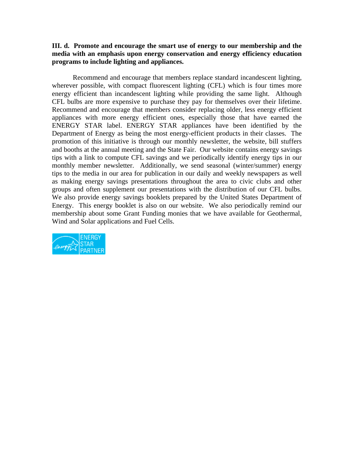#### **III. d. Promote and encourage the smart use of energy to our membership and the media with an emphasis upon energy conservation and energy efficiency education programs to include lighting and appliances.**

Recommend and encourage that members replace standard incandescent lighting, wherever possible, with compact fluorescent lighting (CFL) which is four times more energy efficient than incandescent lighting while providing the same light. Although CFL bulbs are more expensive to purchase they pay for themselves over their lifetime. Recommend and encourage that members consider replacing older, less energy efficient appliances with more energy efficient ones, especially those that have earned the ENERGY STAR label. ENERGY STAR appliances have been identified by the Department of Energy as being the most energy-efficient products in their classes. The promotion of this initiative is through our monthly newsletter, the website, bill stuffers and booths at the annual meeting and the State Fair. Our website contains energy savings tips with a link to compute CFL savings and we periodically identify energy tips in our monthly member newsletter. Additionally, we send seasonal (winter/summer) energy tips to the media in our area for publication in our daily and weekly newspapers as well as making energy savings presentations throughout the area to civic clubs and other groups and often supplement our presentations with the distribution of our CFL bulbs. We also provide energy savings booklets prepared by the United States Department of Energy. This energy booklet is also on our website. We also periodically remind our membership about some Grant Funding monies that we have available for Geothermal, Wind and Solar applications and Fuel Cells.

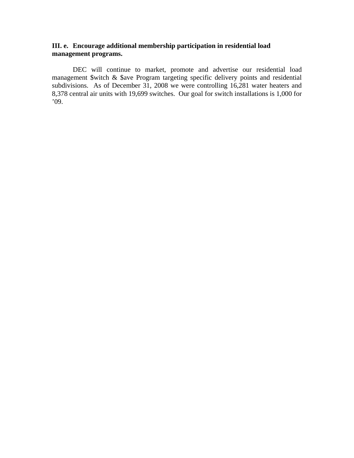### **III. e. Encourage additional membership participation in residential load management programs.**

DEC will continue to market, promote and advertise our residential load management \$witch & \$ave Program targeting specific delivery points and residential subdivisions. As of December 31, 2008 we were controlling 16,281 water heaters and 8,378 central air units with 19,699 switches. Our goal for switch installations is 1,000 for '09.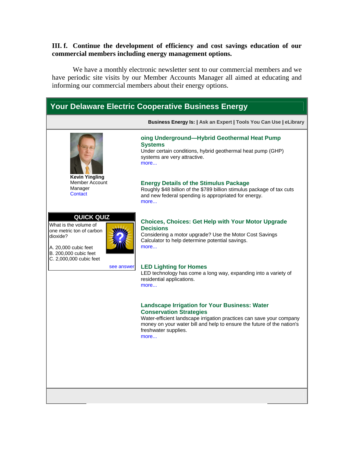#### **III. f. Continue the development of efficiency and cost savings education of our commercial members including energy management options.**

We have a monthly electronic newsletter sent to our commercial members and we have periodic site visits by our Member Accounts Manager all aimed at educating and informing our commercial members about their energy options.

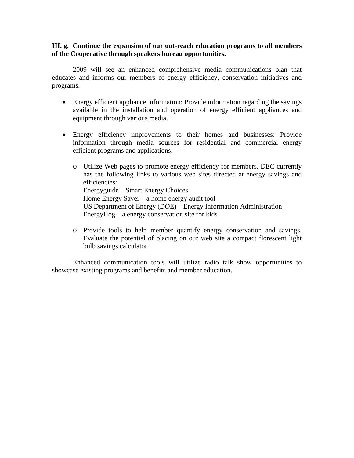**III. g. Continue the expansion of our out-reach education programs to all members of the Cooperative through speakers bureau opportunities.** 

2009 will see an enhanced comprehensive media communications plan that educates and informs our members of energy efficiency, conservation initiatives and programs.

- Energy efficient appliance information: Provide information regarding the savings available in the installation and operation of energy efficient appliances and equipment through various media.
- Energy efficiency improvements to their homes and businesses: Provide information through media sources for residential and commercial energy efficient programs and applications.
	- o Utilize Web pages to promote energy efficiency for members. DEC currently has the following links to various web sites directed at energy savings and efficiencies: Energyguide – Smart Energy Choices Home Energy Saver – a home energy audit tool US Department of Energy (DOE) – Energy Information Administration EnergyHog – a energy conservation site for kids
	- o Provide tools to help member quantify energy conservation and savings. Evaluate the potential of placing on our web site a compact florescent light bulb savings calculator.

Enhanced communication tools will utilize radio talk show opportunities to showcase existing programs and benefits and member education.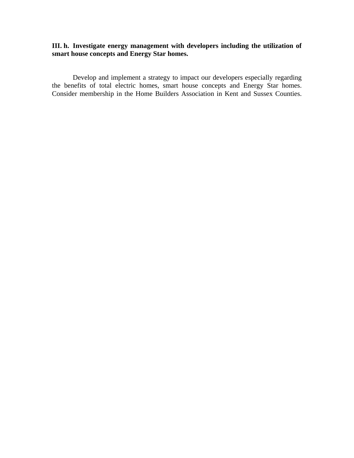#### **III. h. Investigate energy management with developers including the utilization of smart house concepts and Energy Star homes.**

Develop and implement a strategy to impact our developers especially regarding the benefits of total electric homes, smart house concepts and Energy Star homes. Consider membership in the Home Builders Association in Kent and Sussex Counties.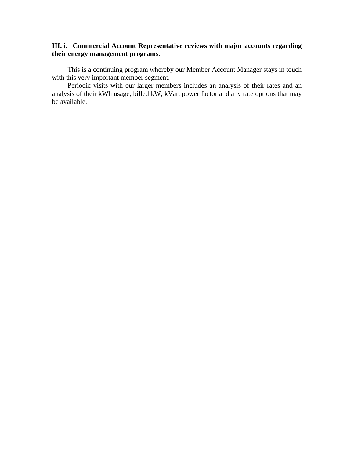### **III. i. Commercial Account Representative reviews with major accounts regarding their energy management programs.**

This is a continuing program whereby our Member Account Manager stays in touch with this very important member segment.

Periodic visits with our larger members includes an analysis of their rates and an analysis of their kWh usage, billed kW, kVar, power factor and any rate options that may be available.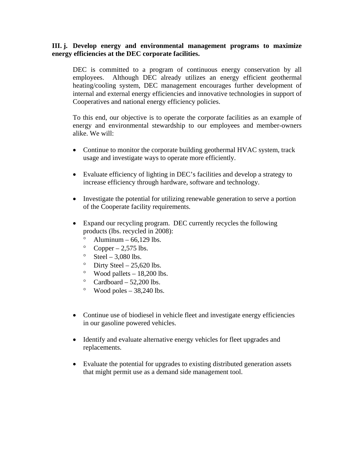#### **III. j. Develop energy and environmental management programs to maximize energy efficiencies at the DEC corporate facilities.**

DEC is committed to a program of continuous energy conservation by all employees. Although DEC already utilizes an energy efficient geothermal heating/cooling system, DEC management encourages further development of internal and external energy efficiencies and innovative technologies in support of Cooperatives and national energy efficiency policies.

To this end, our objective is to operate the corporate facilities as an example of energy and environmental stewardship to our employees and member-owners alike. We will:

- Continue to monitor the corporate building geothermal HVAC system, track usage and investigate ways to operate more efficiently.
- Evaluate efficiency of lighting in DEC's facilities and develop a strategy to increase efficiency through hardware, software and technology.
- Investigate the potential for utilizing renewable generation to serve a portion of the Cooperate facility requirements.
- Expand our recycling program. DEC currently recycles the following products (lbs. recycled in 2008):
	- $\degree$  Aluminum 66,129 lbs.
	- $^{\circ}$  Copper 2,575 lbs.
	- $\degree$  Steel 3,080 lbs.
	- $\degree$  Dirty Steel 25,620 lbs.
	- $\degree$  Wood pallets 18,200 lbs.
	- $\degree$  Cardboard 52,200 lbs.
	- $\degree$  Wood poles 38,240 lbs.
- Continue use of biodiesel in vehicle fleet and investigate energy efficiencies in our gasoline powered vehicles.
- Identify and evaluate alternative energy vehicles for fleet upgrades and replacements.
- Evaluate the potential for upgrades to existing distributed generation assets that might permit use as a demand side management tool.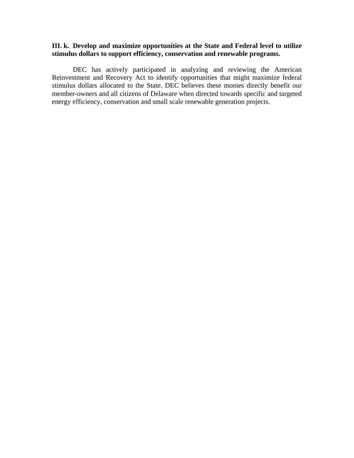#### **III. k. Develop and maximize opportunities at the State and Federal level to utilize stimulus dollars to support efficiency, conservation and renewable programs.**

DEC has actively participated in analyzing and reviewing the American Reinvestment and Recovery Act to identify opportunities that might maximize federal stimulus dollars allocated to the State. DEC believes these monies directly benefit our member-owners and all citizens of Delaware when directed towards specific and targeted energy efficiency, conservation and small scale renewable generation projects.